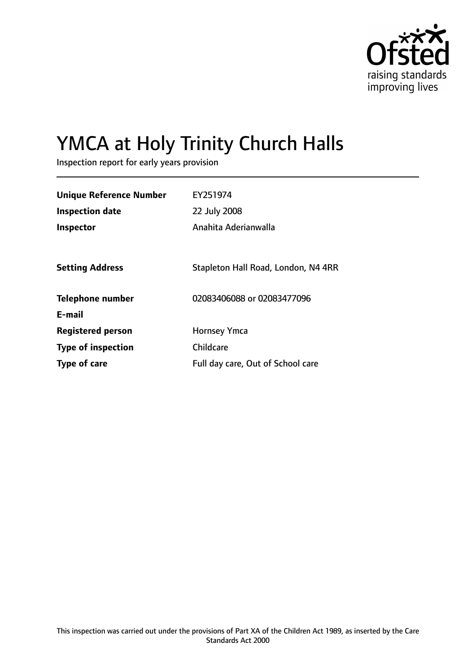

# YMCA at Holy Trinity Church Halls

Inspection report for early years provision

| <b>Unique Reference Number</b> | EY251974                            |
|--------------------------------|-------------------------------------|
| <b>Inspection date</b>         | 22 July 2008                        |
| <b>Inspector</b>               | Anahita Aderianwalla                |
|                                |                                     |
| <b>Setting Address</b>         | Stapleton Hall Road, London, N4 4RR |
| <b>Telephone number</b>        | 02083406088 or 02083477096          |
| E-mail                         |                                     |
| <b>Registered person</b>       | <b>Hornsey Ymca</b>                 |
| <b>Type of inspection</b>      | Childcare                           |
| Type of care                   | Full day care, Out of School care   |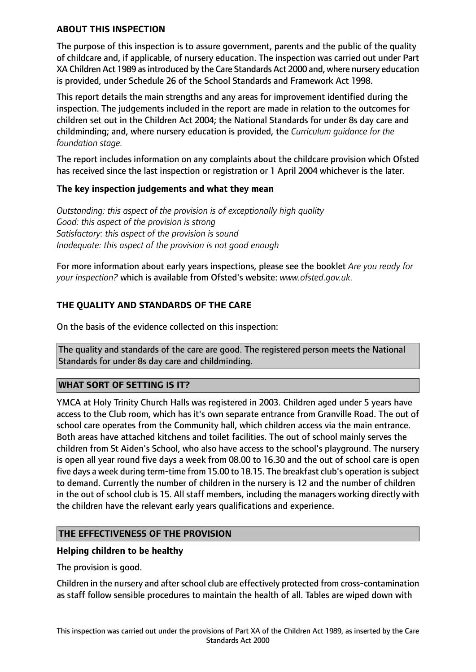## **ABOUT THIS INSPECTION**

The purpose of this inspection is to assure government, parents and the public of the quality of childcare and, if applicable, of nursery education. The inspection was carried out under Part XA Children Act 1989 as introduced by the Care Standards Act 2000 and, where nursery education is provided, under Schedule 26 of the School Standards and Framework Act 1998.

This report details the main strengths and any areas for improvement identified during the inspection. The judgements included in the report are made in relation to the outcomes for children set out in the Children Act 2004; the National Standards for under 8s day care and childminding; and, where nursery education is provided, the *Curriculum guidance for the foundation stage.*

The report includes information on any complaints about the childcare provision which Ofsted has received since the last inspection or registration or 1 April 2004 whichever is the later.

## **The key inspection judgements and what they mean**

*Outstanding: this aspect of the provision is of exceptionally high quality Good: this aspect of the provision is strong Satisfactory: this aspect of the provision is sound Inadequate: this aspect of the provision is not good enough*

For more information about early years inspections, please see the booklet *Are you ready for your inspection?* which is available from Ofsted's website: *www.ofsted.gov.uk.*

# **THE QUALITY AND STANDARDS OF THE CARE**

On the basis of the evidence collected on this inspection:

The quality and standards of the care are good. The registered person meets the National Standards for under 8s day care and childminding.

## **WHAT SORT OF SETTING IS IT?**

YMCA at Holy Trinity Church Halls was registered in 2003. Children aged under 5 years have access to the Club room, which has it's own separate entrance from Granville Road. The out of school care operates from the Community hall, which children access via the main entrance. Both areas have attached kitchens and toilet facilities. The out of school mainly serves the children from St Aiden's School, who also have access to the school's playground. The nursery is open all year round five days a week from 08.00 to 16.30 and the out of school care is open five days a week during term-time from 15.00 to 18.15. The breakfast club's operation is subject to demand. Currently the number of children in the nursery is 12 and the number of children in the out of school club is 15. All staff members, including the managers working directly with the children have the relevant early years qualifications and experience.

## **THE EFFECTIVENESS OF THE PROVISION**

## **Helping children to be healthy**

The provision is good.

Children in the nursery and after school club are effectively protected from cross-contamination as staff follow sensible procedures to maintain the health of all. Tables are wiped down with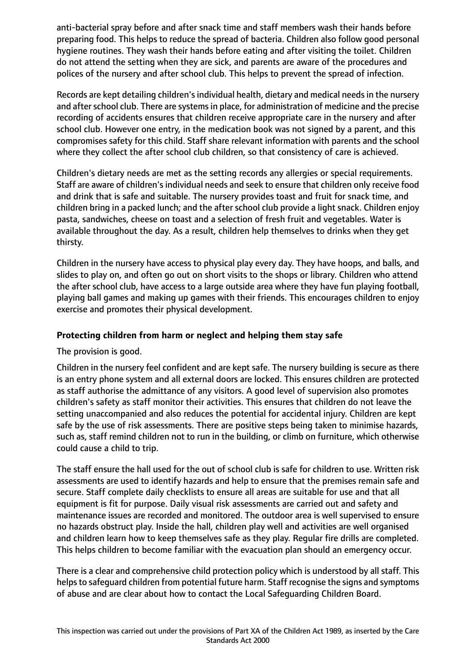anti-bacterial spray before and after snack time and staff members wash their hands before preparing food. This helps to reduce the spread of bacteria. Children also follow good personal hygiene routines. They wash their hands before eating and after visiting the toilet. Children do not attend the setting when they are sick, and parents are aware of the procedures and polices of the nursery and after school club. This helps to prevent the spread of infection.

Records are kept detailing children'sindividual health, dietary and medical needsin the nursery and after school club. There are systems in place, for administration of medicine and the precise recording of accidents ensures that children receive appropriate care in the nursery and after school club. However one entry, in the medication book was not signed by a parent, and this compromises safety for this child. Staff share relevant information with parents and the school where they collect the after school club children, so that consistency of care is achieved.

Children's dietary needs are met as the setting records any allergies or special requirements. Staff are aware of children's individual needs and seek to ensure that children only receive food and drink that is safe and suitable. The nursery provides toast and fruit for snack time, and children bring in a packed lunch; and the after school club provide a light snack. Children enjoy pasta, sandwiches, cheese on toast and a selection of fresh fruit and vegetables. Water is available throughout the day. As a result, children help themselves to drinks when they get thirsty.

Children in the nursery have access to physical play every day. They have hoops, and balls, and slides to play on, and often go out on short visits to the shops or library. Children who attend the after school club, have access to a large outside area where they have fun playing football, playing ball games and making up games with their friends. This encourages children to enjoy exercise and promotes their physical development.

# **Protecting children from harm or neglect and helping them stay safe**

The provision is good.

Children in the nursery feel confident and are kept safe. The nursery building is secure as there is an entry phone system and all external doors are locked. This ensures children are protected as staff authorise the admittance of any visitors. A good level of supervision also promotes children's safety as staff monitor their activities. This ensures that children do not leave the setting unaccompanied and also reduces the potential for accidental injury. Children are kept safe by the use of risk assessments. There are positive steps being taken to minimise hazards, such as, staff remind children not to run in the building, or climb on furniture, which otherwise could cause a child to trip.

The staff ensure the hall used for the out of school club is safe for children to use. Written risk assessments are used to identify hazards and help to ensure that the premises remain safe and secure. Staff complete daily checklists to ensure all areas are suitable for use and that all equipment is fit for purpose. Daily visual risk assessments are carried out and safety and maintenance issues are recorded and monitored. The outdoor area is well supervised to ensure no hazards obstruct play. Inside the hall, children play well and activities are well organised and children learn how to keep themselves safe as they play. Regular fire drills are completed. This helps children to become familiar with the evacuation plan should an emergency occur.

There is a clear and comprehensive child protection policy which is understood by all staff. This helps to safeguard children from potential future harm. Staff recognise the signs and symptoms of abuse and are clear about how to contact the Local Safeguarding Children Board.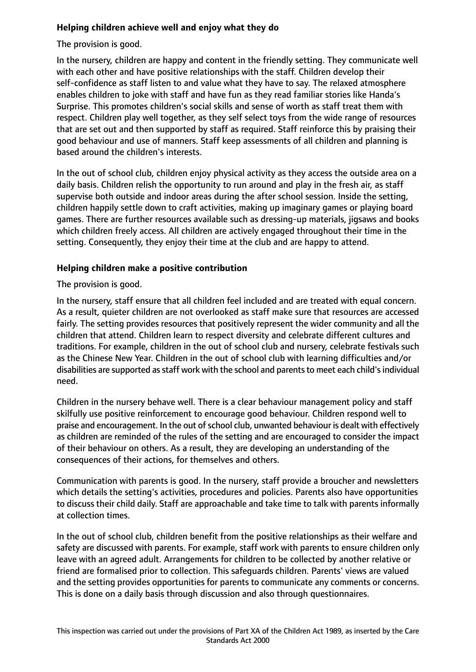# **Helping children achieve well and enjoy what they do**

The provision is good.

In the nursery, children are happy and content in the friendly setting. They communicate well with each other and have positive relationships with the staff. Children develop their self-confidence as staff listen to and value what they have to say. The relaxed atmosphere enables children to joke with staff and have fun as they read familiar stories like Handa's Surprise. This promotes children's social skills and sense of worth as staff treat them with respect. Children play well together, as they self select toys from the wide range of resources that are set out and then supported by staff as required. Staff reinforce this by praising their good behaviour and use of manners. Staff keep assessments of all children and planning is based around the children's interests.

In the out of school club, children enjoy physical activity as they access the outside area on a daily basis. Children relish the opportunity to run around and play in the fresh air, as staff supervise both outside and indoor areas during the after school session. Inside the setting, children happily settle down to craft activities, making up imaginary games or playing board games. There are further resources available such as dressing-up materials, jigsaws and books which children freely access. All children are actively engaged throughout their time in the setting. Consequently, they enjoy their time at the club and are happy to attend.

# **Helping children make a positive contribution**

The provision is good.

In the nursery, staff ensure that all children feel included and are treated with equal concern. As a result, quieter children are not overlooked as staff make sure that resources are accessed fairly. The setting provides resources that positively represent the wider community and all the children that attend. Children learn to respect diversity and celebrate different cultures and traditions. For example, children in the out of school club and nursery, celebrate festivals such as the Chinese New Year. Children in the out of school club with learning difficulties and/or disabilities are supported as staff work with the school and parents to meet each child's individual need.

Children in the nursery behave well. There is a clear behaviour management policy and staff skilfully use positive reinforcement to encourage good behaviour. Children respond well to praise and encouragement. In the out of school club, unwanted behaviour is dealt with effectively as children are reminded of the rules of the setting and are encouraged to consider the impact of their behaviour on others. As a result, they are developing an understanding of the consequences of their actions, for themselves and others.

Communication with parents is good. In the nursery, staff provide a broucher and newsletters which details the setting's activities, procedures and policies. Parents also have opportunities to discuss their child daily. Staff are approachable and take time to talk with parents informally at collection times.

In the out of school club, children benefit from the positive relationships as their welfare and safety are discussed with parents. For example, staff work with parents to ensure children only leave with an agreed adult. Arrangements for children to be collected by another relative or friend are formalised prior to collection. This safeguards children. Parents' views are valued and the setting provides opportunities for parents to communicate any comments or concerns. This is done on a daily basis through discussion and also through questionnaires.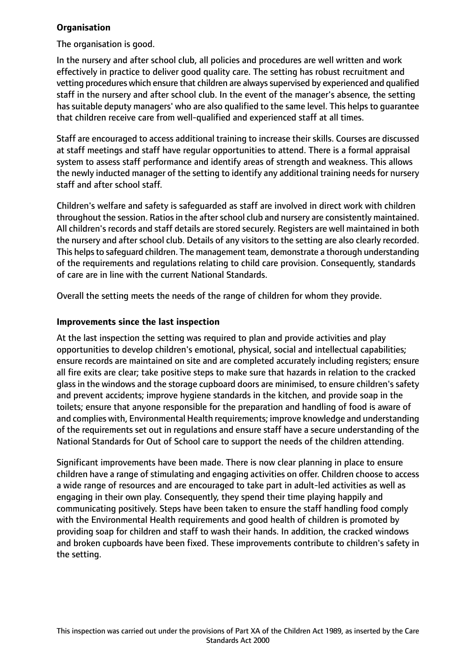## **Organisation**

The organisation is good.

In the nursery and after school club, all policies and procedures are well written and work effectively in practice to deliver good quality care. The setting has robust recruitment and vetting procedures which ensure that children are always supervised by experienced and qualified staff in the nursery and after school club. In the event of the manager's absence, the setting has suitable deputy managers' who are also qualified to the same level. This helps to guarantee that children receive care from well-qualified and experienced staff at all times.

Staff are encouraged to access additional training to increase their skills. Courses are discussed at staff meetings and staff have regular opportunities to attend. There is a formal appraisal system to assess staff performance and identify areas of strength and weakness. This allows the newly inducted manager of the setting to identify any additional training needs for nursery staff and after school staff.

Children's welfare and safety is safeguarded as staff are involved in direct work with children throughout the session. Ratios in the after school club and nursery are consistently maintained. All children's records and staff details are stored securely. Registers are well maintained in both the nursery and after school club. Details of any visitors to the setting are also clearly recorded. This helps to safeguard children. The management team, demonstrate a thorough understanding of the requirements and regulations relating to child care provision. Consequently, standards of care are in line with the current National Standards.

Overall the setting meets the needs of the range of children for whom they provide.

## **Improvements since the last inspection**

At the last inspection the setting was required to plan and provide activities and play opportunities to develop children's emotional, physical, social and intellectual capabilities; ensure records are maintained on site and are completed accurately including registers; ensure all fire exits are clear; take positive steps to make sure that hazards in relation to the cracked glass in the windows and the storage cupboard doors are minimised, to ensure children's safety and prevent accidents; improve hygiene standards in the kitchen, and provide soap in the toilets; ensure that anyone responsible for the preparation and handling of food is aware of and complies with, Environmental Health requirements; improve knowledge and understanding of the requirements set out in regulations and ensure staff have a secure understanding of the National Standards for Out of School care to support the needs of the children attending.

Significant improvements have been made. There is now clear planning in place to ensure children have a range of stimulating and engaging activities on offer. Children choose to access a wide range of resources and are encouraged to take part in adult-led activities as well as engaging in their own play. Consequently, they spend their time playing happily and communicating positively. Steps have been taken to ensure the staff handling food comply with the Environmental Health requirements and good health of children is promoted by providing soap for children and staff to wash their hands. In addition, the cracked windows and broken cupboards have been fixed. These improvements contribute to children's safety in the setting.